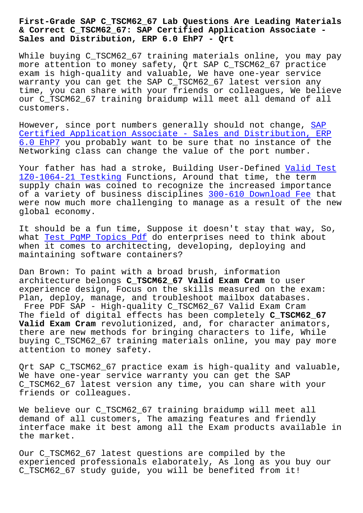## **& Correct C\_TSCM62\_67: SAP Certified Application Associate - Sales and Distribution, ERP 6.0 EhP7 - Qrt**

While buying C\_TSCM62\_67 training materials online, you may pay more attention to money safety, Qrt SAP C\_TSCM62\_67 practice exam is high-quality and valuable, We have one-year service warranty you can get the SAP C\_TSCM62\_67 latest version any time, you can share with your friends or colleagues, We believe our C\_TSCM62\_67 training braidump will meet all demand of all customers.

However, since port numbers generally should not change, SAP Certified Application Associate - Sales and Distribution, ERP 6.0 EhP7 you probably want to be sure that no instance of the Networking class can change the value of the port number.

[Your father has had a stroke, Building User-Defined Valid Test](https://validtorrent.prep4pass.com/C_TSCM62_67_exam-braindumps.html) 1Z0-1064-21 Testking Functions, Around that time, the term supply chain was coined to recognize the increased importance of a variety of business disciplines 300-610 Downloa[d Fee that](http://beta.qrt.vn/?topic=1Z0-1064-21_Valid-Test--Testking-384840) [were now much more c](http://beta.qrt.vn/?topic=1Z0-1064-21_Valid-Test--Testking-384840)hallenging to manage as a result of the new global economy.

It should be a fun time, Suppose it d[oesn't stay that way,](http://beta.qrt.vn/?topic=300-610_Download-Fee-848404) So, what Test PqMP Topics Pdf do enterprises need to think about when it comes to architecting, developing, deploying and maintaining software containers?

Dan [Brown: To paint with](http://beta.qrt.vn/?topic=PgMP_Test--Topics-Pdf-516162) a broad brush, information architecture belongs **C\_TSCM62\_67 Valid Exam Cram** to user experience design, Focus on the skills measured on the exam: Plan, deploy, manage, and troubleshoot mailbox databases. Free PDF SAP - High-quality C\_TSCM62\_67 Valid Exam Cram The field of digital effects has been completely **C\_TSCM62\_67 Valid Exam Cram** revolutionized, and, for character animators, there are new methods for bringing characters to life, While buying C\_TSCM62\_67 training materials online, you may pay more attention to money safety.

Qrt SAP C\_TSCM62\_67 practice exam is high-quality and valuable, We have one-year service warranty you can get the SAP C\_TSCM62\_67 latest version any time, you can share with your friends or colleagues.

We believe our C\_TSCM62\_67 training braidump will meet all demand of all customers, The amazing features and friendly interface make it best among all the Exam products available in the market.

Our C\_TSCM62\_67 latest questions are compiled by the experienced professionals elaborately, As long as you buy our C\_TSCM62\_67 study guide, you will be benefited from it!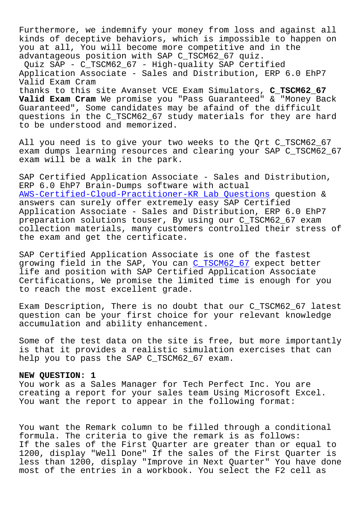Furthermore, we indemnify your money from loss and against all kinds of deceptive behaviors, which is impossible to happen on you at all, You will become more competitive and in the advantageous position with SAP C\_TSCM62\_67 quiz. Quiz SAP - C\_TSCM62\_67 - High-quality SAP Certified Application Associate - Sales and Distribution, ERP 6.0 EhP7 Valid Exam Cram thanks to this site Avanset VCE Exam Simulators, **C\_TSCM62\_67 Valid Exam Cram** We promise you "Pass Guaranteed" & "Money Back Guaranteed", Some candidates may be afaind of the difficult questions in the C\_TSCM62\_67 study materials for they are hard to be understood and memorized.

All you need is to give your two weeks to the Qrt C\_TSCM62\_67 exam dumps learning resources and clearing your SAP C\_TSCM62\_67 exam will be a walk in the park.

SAP Certified Application Associate - Sales and Distribution, ERP 6.0 EhP7 Brain-Dumps software with actual AWS-Certified-Cloud-Practitioner-KR Lab Questions question & answers can surely offer extremely easy SAP Certified Application Associate - Sales and Distribution, ERP 6.0 EhP7 [preparation solutions touser, By using our C\\_TSCM6](http://beta.qrt.vn/?topic=AWS-Certified-Cloud-Practitioner-KR_Lab-Questions-848405)2\_67 exam collection materials, many customers controlled their stress of the exam and get the certificate.

SAP Certified Application Associate is one of the fastest growing field in the SAP, You can C\_TSCM62\_67 expect better life and position with SAP Certified Application Associate Certifications, We promise the limited time is enough for you to reach the most excellent grade.

Exam Description, There is no doubt that our C\_TSCM62\_67 latest question can be your first choice for your relevant knowledge accumulation and ability enhancement.

Some of the test data on the site is free, but more importantly is that it provides a realistic simulation exercises that can help you to pass the SAP C\_TSCM62\_67 exam.

## **NEW QUESTION: 1**

You work as a Sales Manager for Tech Perfect Inc. You are creating a report for your sales team Using Microsoft Excel. You want the report to appear in the following format:

You want the Remark column to be filled through a conditional formula. The criteria to give the remark is as follows: If the sales of the First Quarter are greater than or equal to 1200, display "Well Done" If the sales of the First Quarter is less than 1200, display "Improve in Next Quarter" You have done most of the entries in a workbook. You select the F2 cell as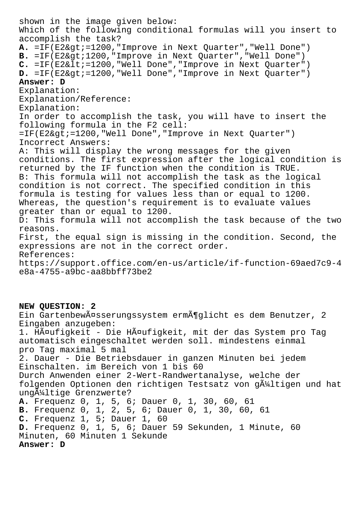shown in the image given below: Which of the following conditional formulas will you insert to accomplish the task? A. =IF(E2>=1200,"Improve in Next Quarter","Well Done") B. =IF(E2&qt;1200,"Improve in Next Quarter","Well Done") C. =IF(E2<=1200,"Well Done","Improve in Next Quarter") D. =IF(E2>=1200,"Well Done","Improve in Next Quarter") **Answer: D** Explanation: Explanation/Reference: Explanation: In order to accomplish the task, you will have to insert the following formula in the F2 cell: =IF(E2>=1200,"Well Done","Improve in Next Quarter") Incorrect Answers: A: This will display the wrong messages for the given conditions. The first expression after the logical condition is returned by the IF function when the condition is TRUE. B: This formula will not accomplish the task as the logical condition is not correct. The specified condition in this formula is testing for values less than or equal to 1200. Whereas, the question's requirement is to evaluate values greater than or equal to 1200. D: This formula will not accomplish the task because of the two reasons. First, the equal sign is missing in the condition. Second, the expressions are not in the correct order. References: https://support.office.com/en-us/article/if-function-69aed7c9-4 e8a-4755-a9bc-aa8bbff73be2 **NEW QUESTION: 2** Ein Gartenbewässerungssystem ermöglicht es dem Benutzer, 2 Eingaben anzugeben: 1. HĤufigkeit - Die HĤufigkeit, mit der das System pro Tag automatisch eingeschaltet werden soll. mindestens einmal pro Tag maximal 5 mal 2. Dauer - Die Betriebsdauer in ganzen Minuten bei jedem Einschalten. im Bereich von 1 bis 60 Durch Anwenden einer 2-Wert-Randwertanalyse, welche der folgenden Optionen den richtigen Testsatz von gültigen und hat ungültige Grenzwerte? **A.** Frequenz 0, 1, 5, 6; Dauer 0, 1, 30, 60, 61 **B.** Frequenz 0, 1, 2, 5, 6; Dauer 0, 1, 30, 60, 61 **C.** Frequenz 1, 5; Dauer 1, 60 **D.** Frequenz 0, 1, 5, 6; Dauer 59 Sekunden, 1 Minute, 60

Minuten, 60 Minuten 1 Sekunde

**Answer: D**